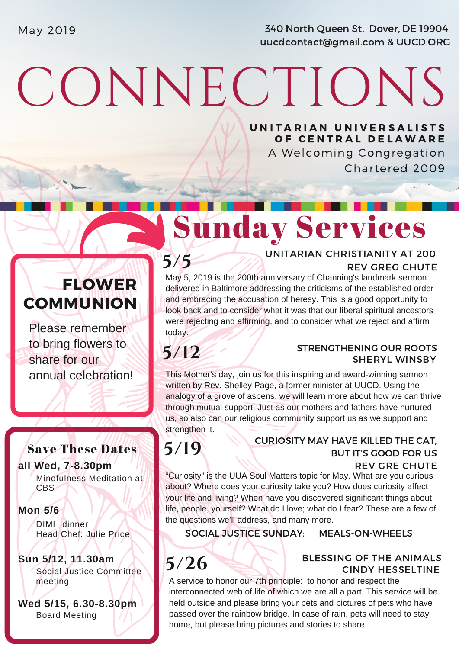May 2019 **340 North Queen St. Dover, DE 19904** uucdcontact@gmail.com & UUCD.ORG

# CONNECTIONS

UNITARIAN UNIVERSALISTS OF CENTRAL DELAWARE

A Welcoming Congregation Chartered 2009

# Sunday Services

### FLOWER **COMMUNION**

Please remember to bring flowers to share for our annual celebration!

#### Save These Dates

**all Wed, 7-8.30pm** Mindfulness Meditation at CBS

#### **Mon 5/6**

DIMH dinner Head Chef: Julie Price

**Sun 5/12, 11.30am** Social Justice Committee meeting

**Wed 5/15, 6.30-8.30pm** Board Meeting

#### **5/5 DISTURBATE ON TARIAN CHRISTIANITY AT 200** UNITARIAN CHRISTIANITY AT 200

May 5, 2019 is the 200th anniversary of Channing's landmark sermon delivered in Baltimore addressing the criticisms of the established order and embracing the accusation of heresy. This is a good opportunity to look back and to consider what it was that our liberal spiritual ancestors were rejecting and affirming, and to consider what we reject and affirm today.

# **5/12**

#### STRENGTHENING OUR ROOTS SHERYL WINSBY

This Mother's day, join us for this inspiring and award-winning sermon written by Rev. Shelley Page, a former minister at UUCD. Using the analogy of a grove of aspens, we will learn more about how we can thrive through mutual support. Just as our mothers and fathers have nurtured us, so also can our religious community support us as we support and strengthen it.

**5/19**

#### REV GRE CHUTE CURIOSITY MAY HAVE KILLED THE CAT, BUT IT'S GOOD FOR US

"Curiosity" is the UUA Soul Matters topic for May. What are you curious about? Where does your curiosity take you? How does curiosity affect your life and living? When have you discovered significant things about life, people, yourself? What do I love; what do I fear? These are a few of the questions we'll address, and many more.

SOCIAL JUSTICE SUNDAY: MEALS-ON-WHEELS

#### BLESSING OF THE ANIMALS **5/26** BLESSING OF THE ANIMALS

A service to honor our 7th principle: to honor and respect the interconnected web of life of which we are all a part. This service will be held outside and please bring your pets and pictures of pets who have passed over the rainbow bridge. In case of rain, pets will need to stay home, but please bring pictures and stories to share.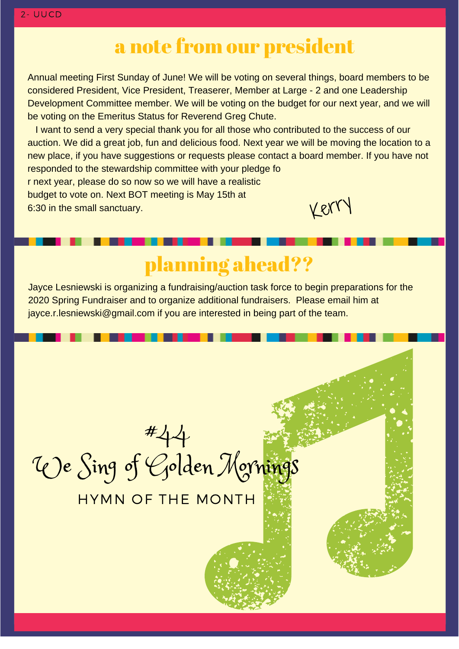## a note from our president

Annual meeting First Sunday of June! We will be voting on several things, board members to be considered President, Vice President, Treaserer, Member at Large - 2 and one Leadership Development Committee member. We will be voting on the budget for our next year, and we will be voting on the Emeritus Status for Reverend Greg Chute.

 I want to send a very special thank you for all those who contributed to the success of our [auction. We did a great job, fun and delicious food. Next year we will be moving the location to a](http://www.uua.org/economic/escalatinginequality) new place, if you have suggestions or requests please contact a board member. If you have not responded to the stewardship committee with your pledge fo r next year, please do so now so we will have a realistic budget to vote on. Next BOT meeting is May 15th at 6:30 in the small sanctuary. Kerry

# planning ahead??

[Jayce Lesniewski is organizing a fundraising/auction task force to begin preparations for the](http://www.uua.org/economic/escalatinginequality) 2020 Spring Fundraiser and to organize additional fundraisers. Please email him at jayce.r.lesniewski@gmail.com if you are interested in being part of the team.

#44 We Sing of Golden Mornings

#### HYMN OF THE MONTH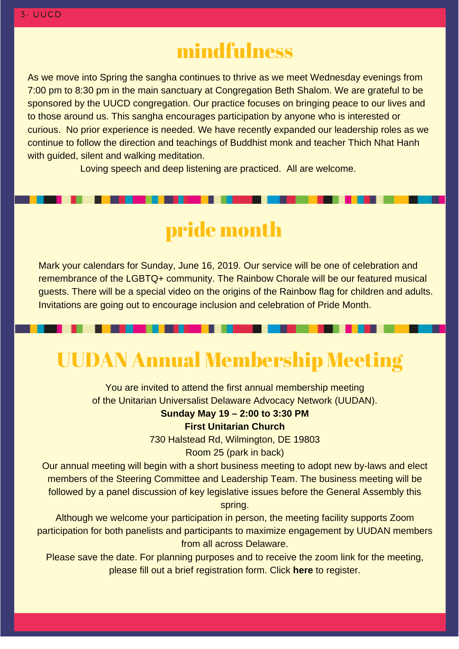### mindfulness

As we move into Spring the sangha continues to thrive as we meet Wednesday evenings from 7:00 pm to 8:30 pm in the main sanctuary at Congregation Beth Shalom. We are grateful to be sponsored by the UUCD congregation. Our practice focuses on bringing peace to our lives and to those around us. This sangha encourages participation by anyone who is interested or [curious. No prior experience is needed. We have recently expanded our leadership roles as we](http://www.uua.org/economic/escalatinginequality) continue to follow the direction and teachings of Buddhist monk and teacher Thich Nhat Hanh with guided, silent and walking meditation.

Loving speech and deep listening are practiced. All are welcome.

# pride month

Mark your calendars for Sunday, June 16, 2019. Our service will be one of celebration and remembrance of the LGBTQ+ community. The Rainbow Chorale will be our featured musical [guests. There will be a special video on the origins of the Rainbow flag for children and adults.](http://www.uua.org/economic/escalatinginequality) Invitations are going out to encourage inclusion and celebration of Pride Month.

# UUDAN Annual Membership Meeting

You are invited to attend the first annual membership meeting of the Unitarian Universalist Delaware Advocacy Network (UUDAN).

#### **Sunday May 19 – 2:00 to 3:30 PM**

**First Unitarian Church**

730 Halstead Rd, Wilmington, DE 19803

Room 25 (park in back)

Our annual meeting will begin with a short business meeting to adopt new by-laws and elect members of the Steering Committee and Leadership Team. The business meeting will be followed by a panel discussion of key legislative issues before the General Assembly this spring.

Although we welcome your participation in person, the meeting facility supports Zoom [participation for both panelists and participants to maximize engagement by UUDAN members](https://forms.gle/DMvT4D6QDhB65SJ99) from all across Delaware.

Please save the date. For planning purposes and to receive the zoom link for the meeting, please fill out a brief registration form. Click **here** to register.